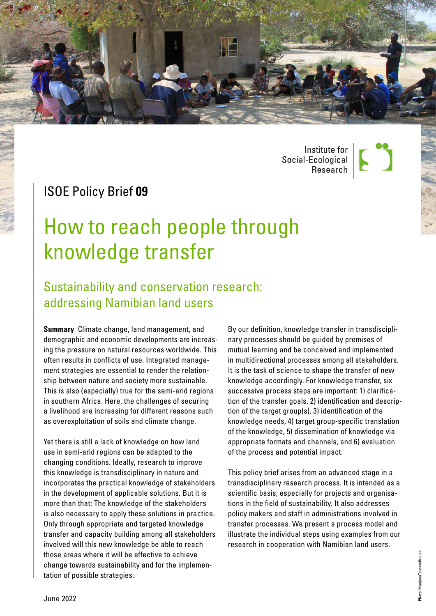

| Institute for<br>| Social-Ecological<br>| Research



# ISOE Policy Brief **09**

# How to reach people through knowledge transfer

# Sustainability and conservation research: addressing Namibian land users

**Summary** Climate change, land management, and demographic and economic developments are increasing the pressure on natural resources worldwide. This often results in conflicts of use. Integrated management strategies are essential to render the relationship between nature and society more sustainable. This is also (especially) true for the semi-arid regions in southern Africa. Here, the challenges of securing a livelihood are increasing for different reasons such as overexploitation of soils and climate change.

Yet there is still a lack of knowledge on how land use in semi-arid regions can be adapted to the changing conditions. Ideally, research to improve this knowledge is transdisciplinary in nature and incorporates the practical knowledge of stakeholders in the development of applicable solutions. But it is more than that: The knowledge of the stakeholders is also necessary to apply these solutions in practice. Only through appropriate and targeted knowledge transfer and capacity building among all stakeholders involved will this new knowledge be able to reach those areas where it will be effective to achieve change towards sustainability and for the implementation of possible strategies.

By our definition, knowledge transfer in transdisciplinary processes should be guided by premises of mutual learning and be conceived and implemented in multidirectional processes among all stakeholders. It is the task of science to shape the transfer of new knowledge accordingly. For knowledge transfer, six successive process steps are important: 1) clarification of the transfer goals, 2) identification and description of the target group(s), 3) identification of the knowledge needs, 4) target group-specific translation of the knowledge, 5) dissemination of knowledge via appropriate formats and channels, and 6) evaluation of the process and potential impact.

This policy brief arises from an advanced stage in a transdisciplinary research process. It is intended as a scientific basis, especially for projects and organisations in the field of sustainability. It also addresses policy makers and staff in administrations involved in transfer processes. We present a process model and illustrate the individual steps using examples from our research in cooperation with Namibian land users.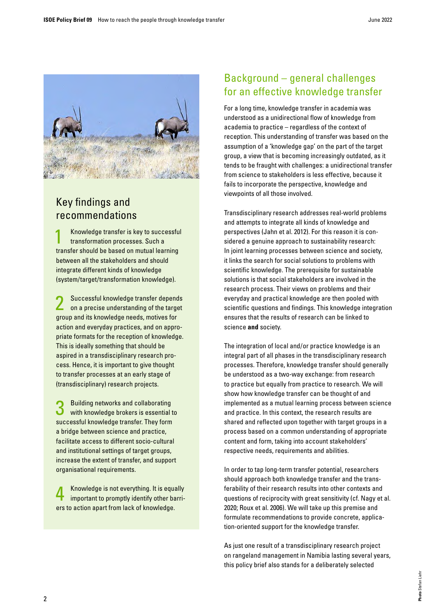

# Key findings and recommendations

Knowledge transfer is key to successful transformation processes. Such a transfer should be based on mutual learning between all the stakeholders and should integrate different kinds of knowledge (system/target/transformation knowledge).

2 Successful knowledge transfer depends on a precise understanding of the target group and its knowledge needs, motives for action and everyday practices, and on appropriate formats for the reception of knowledge. This is ideally something that should be aspired in a transdisciplinary research process. Hence, it is important to give thought to transfer processes at an early stage of (transdisciplinary) research projects.

3 Building networks and collaborating with knowledge brokers is essential to successful knowledge transfer. They form a bridge between science and practice, facilitate access to different socio-cultural and institutional settings of target groups, increase the extent of transfer, and support organisational requirements.

4 Knowledge is not everything. It is equally important to promptly identify other barriers to action apart from lack of knowledge.

# Background – general challenges for an effective knowledge transfer

For a long time, knowledge transfer in academia was understood as a unidirectional flow of knowledge from academia to practice – regardless of the context of reception. This understanding of transfer was based on the assumption of a 'knowledge gap' on the part of the target group, a view that is becoming increasingly outdated, as it tends to be fraught with challenges: a unidirectional transfer from science to stakeholders is less effective, because it fails to incorporate the perspective, knowledge and viewpoints of all those involved.

Transdisciplinary research addresses real-world problems and attempts to integrate all kinds of knowledge and perspectives (Jahn et al. 2012). For this reason it is considered a genuine approach to sustainability research: In joint learning processes between science and society, it links the search for social solutions to problems with scientific knowledge. The prerequisite for sustainable solutions is that social stakeholders are involved in the research process. Their views on problems and their everyday and practical knowledge are then pooled with scientific questions and findings. This knowledge integration ensures that the results of research can be linked to science **and** society.

The integration of local and/or practice knowledge is an integral part of all phases in the transdisciplinary research processes. Therefore, knowledge transfer should generally be understood as a two-way exchange: from research to practice but equally from practice to research. We will show how knowledge transfer can be thought of and implemented as a mutual learning process between science and practice. In this context, the research results are shared and reflected upon together with target groups in a process based on a common understanding of appropriate content and form, taking into account stakeholders' respective needs, requirements and abilities.

In order to tap long-term transfer potential, researchers should approach both knowledge transfer and the transferability of their research results into other contexts and questions of reciprocity with great sensitivity (cf. Nagy et al. 2020; Roux et al. 2006). We will take up this premise and formulate recommendations to provide concrete, application-oriented support for the knowledge transfer.

As just one result of a transdisciplinary research project on rangeland management in Namibia lasting several years, this policy brief also stands for a deliberately selected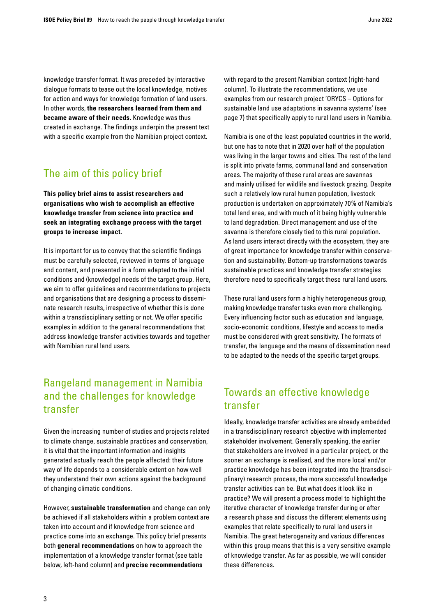knowledge transfer format. It was preceded by interactive dialogue formats to tease out the local knowledge, motives for action and ways for knowledge formation of land users. In other words, **the researchers learned from them and became aware of their needs.** Knowledge was thus created in exchange. The findings underpin the present text with a specific example from the Namibian project context.

# The aim of this policy brief

**This policy brief aims to assist researchers and organisations who wish to accomplish an effective knowledge transfer from science into practice and seek an integrating exchange process with the target groups to increase impact.**

It is important for us to convey that the scientific findings must be carefully selected, reviewed in terms of language and content, and presented in a form adapted to the initial conditions and (knowledge) needs of the target group. Here, we aim to offer guidelines and recommendations to projects and organisations that are designing a process to disseminate research results, irrespective of whether this is done within a transdisciplinary setting or not. We offer specific examples in addition to the general recommendations that address knowledge transfer activities towards and together with Namibian rural land users.

# Rangeland management in Namibia and the challenges for knowledge transfer

Given the increasing number of studies and projects related to climate change, sustainable practices and conservation, it is vital that the important information and insights generated actually reach the people affected: their future way of life depends to a considerable extent on how well they understand their own actions against the background of changing climatic conditions.

However, **sustainable transformation** and change can only be achieved if all stakeholders within a problem context are taken into account and if knowledge from science and practice come into an exchange. This policy brief presents both **general recommendations** on how to approach the implementation of a knowledge transfer format (see table below, left-hand column) and **precise recommendations**

with regard to the present Namibian context (right-hand column). To illustrate the recommendations, we use examples from our research project 'ORYCS – Options for sustainable land use adaptations in savanna systems' (see page 7) that specifically apply to rural land users in Namibia.

Namibia is one of the least populated countries in the world, but one has to note that in 2020 over half of the population was living in the larger towns and cities. The rest of the land is split into private farms, communal land and conservation areas. The majority of these rural areas are savannas and mainly utilised for wildlife and livestock grazing. Despite such a relatively low rural human population, livestock production is undertaken on approximately 70% of Namibia's total land area, and with much of it being highly vulnerable to land degradation. Direct management and use of the savanna is therefore closely tied to this rural population. As land users interact directly with the ecosystem, they are of great importance for knowledge transfer within conservation and sustainability. Bottom-up transformations towards sustainable practices and knowledge transfer strategies therefore need to specifically target these rural land users.

These rural land users form a highly heterogeneous group, making knowledge transfer tasks even more challenging. Every influencing factor such as education and language, socio-economic conditions, lifestyle and access to media must be considered with great sensitivity. The formats of transfer, the language and the means of dissemination need to be adapted to the needs of the specific target groups.

### Towards an effective knowledge transfer

Ideally, knowledge transfer activities are already embedded in a transdisciplinary research objective with implemented stakeholder involvement. Generally speaking, the earlier that stakeholders are involved in a particular project, or the sooner an exchange is realised, and the more local and/or practice knowledge has been integrated into the (transdisciplinary) research process, the more successful knowledge transfer activities can be. But what does it look like in practice? We will present a process model to highlight the iterative character of knowledge transfer during or after a research phase and discuss the different elements using examples that relate specifically to rural land users in Namibia. The great heterogeneity and various differences within this group means that this is a very sensitive example of knowledge transfer. As far as possible, we will consider these differences.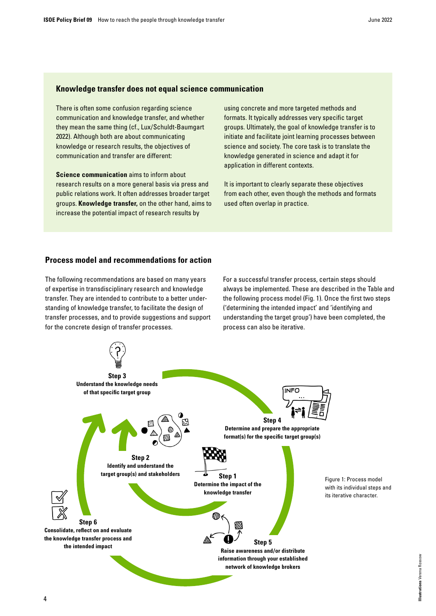#### **Knowledge transfer does not equal science communication**

There is often some confusion regarding science communication and knowledge transfer, and whether they mean the same thing (cf., Lux/Schuldt-Baumgart 2022). Although both are about communicating knowledge or research results, the objectives of communication and transfer are different:

**Science communication** aims to inform about research results on a more general basis via press and public relations work. It often addresses broader target groups. **Knowledge transfer,** on the other hand, aims to increase the potential impact of research results by

using concrete and more targeted methods and formats. It typically addresses very specific target groups. Ultimately, the goal of knowledge transfer is to initiate and facilitate joint learning processes between science and society. The core task is to translate the knowledge generated in science and adapt it for application in different contexts.

It is important to clearly separate these objectives from each other, even though the methods and formats used often overlap in practice.

#### **Process model and recommendations for action**

The following recommendations are based on many years of expertise in transdisciplinary research and knowledge transfer. They are intended to contribute to a better understanding of knowledge transfer, to facilitate the design of transfer processes, and to provide suggestions and support for the concrete design of transfer processes.

For a successful transfer process, certain steps should always be implemented. These are described in the Table and the following process model (Fig. 1). Once the first two steps ('determining the intended impact' and 'identifying and understanding the target group') have been completed, the process can also be iterative.

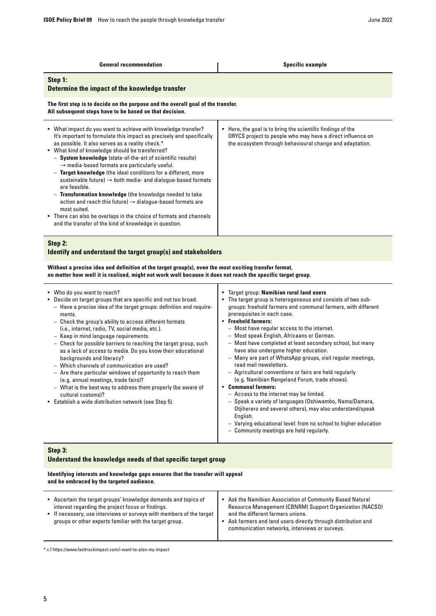| <b>General recommendation</b>                                                                                                                                                                                                                                                                                                                                                                                                                                                                                                                                                                                                                                                                                                                                                                                                   | <b>Specific example</b>                                                                                                                                                                                                                                                                                                                                                                                                                                                                                                                                                                                                                                                                                                                                                                                                                                                                                                                                            |  |
|---------------------------------------------------------------------------------------------------------------------------------------------------------------------------------------------------------------------------------------------------------------------------------------------------------------------------------------------------------------------------------------------------------------------------------------------------------------------------------------------------------------------------------------------------------------------------------------------------------------------------------------------------------------------------------------------------------------------------------------------------------------------------------------------------------------------------------|--------------------------------------------------------------------------------------------------------------------------------------------------------------------------------------------------------------------------------------------------------------------------------------------------------------------------------------------------------------------------------------------------------------------------------------------------------------------------------------------------------------------------------------------------------------------------------------------------------------------------------------------------------------------------------------------------------------------------------------------------------------------------------------------------------------------------------------------------------------------------------------------------------------------------------------------------------------------|--|
| Step 1:<br>Determine the impact of the knowledge transfer                                                                                                                                                                                                                                                                                                                                                                                                                                                                                                                                                                                                                                                                                                                                                                       |                                                                                                                                                                                                                                                                                                                                                                                                                                                                                                                                                                                                                                                                                                                                                                                                                                                                                                                                                                    |  |
| The first step is to decide on the purpose and the overall goal of the transfer.<br>All subsequent steps have to be based on that decision.                                                                                                                                                                                                                                                                                                                                                                                                                                                                                                                                                                                                                                                                                     |                                                                                                                                                                                                                                                                                                                                                                                                                                                                                                                                                                                                                                                                                                                                                                                                                                                                                                                                                                    |  |
| • What impact do you want to achieve with knowledge transfer?<br>It's important to formulate this impact as precisely and specifically<br>as possible. It also serves as a reality check.*<br>• What kind of knowledge should be transferred?<br>- System knowledge (state-of-the-art of scientific results)<br>$\rightarrow$ media-based formats are particularly useful.<br>- Target knowledge (the ideal conditions for a different, more<br>sustainable future) $\rightarrow$ both media- and dialogue-based formats<br>are feasible.<br>- Transformation knowledge (the knowledge needed to take<br>action and reach this future) $\rightarrow$ dialogue-based formats are<br>most suited.<br>• There can also be overlaps in the choice of formats and channels<br>and the transfer of the kind of knowledge in question. | • Here, the goal is to bring the scientific findings of the<br>ORYCS project to people who may have a direct influence on<br>the ecosystem through behavioural change and adaptation.                                                                                                                                                                                                                                                                                                                                                                                                                                                                                                                                                                                                                                                                                                                                                                              |  |
| Step 2:                                                                                                                                                                                                                                                                                                                                                                                                                                                                                                                                                                                                                                                                                                                                                                                                                         |                                                                                                                                                                                                                                                                                                                                                                                                                                                                                                                                                                                                                                                                                                                                                                                                                                                                                                                                                                    |  |
| Identify and understand the target group(s) and stakeholders                                                                                                                                                                                                                                                                                                                                                                                                                                                                                                                                                                                                                                                                                                                                                                    |                                                                                                                                                                                                                                                                                                                                                                                                                                                                                                                                                                                                                                                                                                                                                                                                                                                                                                                                                                    |  |
| Without a precise idea and definition of the target group(s), even the most exciting transfer format,<br>no matter how well it is realised, might not work well because it does not reach the specific target group.                                                                                                                                                                                                                                                                                                                                                                                                                                                                                                                                                                                                            |                                                                                                                                                                                                                                                                                                                                                                                                                                                                                                                                                                                                                                                                                                                                                                                                                                                                                                                                                                    |  |
| • Who do you want to reach?<br>• Decide on target groups that are specific and not too broad.<br>- Have a precise idea of the target groups: definition and require-<br>ments.<br>- Check the group's ability to access different formats<br>(i.e., internet, radio, TV, social media, etc.).<br>- Keep in mind language requirements.<br>- Check for possible barriers to reaching the target group, such<br>as a lack of access to media. Do you know their educational<br>backgrounds and literacy?<br>- Which channels of communication are used?<br>- Are there particular windows of opportunity to reach them<br>(e.g. annual meetings, trade fairs)?<br>— What is the best way to address them properly (be aware of<br>cultural customs)?<br>• Establish a wide distribution network (see Step 5).                     | • Target group: Namibian rural land users<br>• The target group is heterogeneous and consists of two sub-<br>groups: freehold farmers and communal farmers, with different<br>prerequisites in each case.<br>• Freehold farmers:<br>- Most have regular access to the internet.<br>- Most speak English, Africaans or German.<br>- Most have completed at least secondary school, but many<br>have also undergone higher education.<br>- Many are part of WhatsApp groups, visit regular meetings,<br>read mail newsletters.<br>- Agricultural conventions or fairs are held regularly<br>(e.g. Namibian Rangeland Forum, trade shows).<br><b>Communal farmers:</b><br>- Access to the internet may be limited.<br>- Speak a variety of languages (Oshiwambo, Nama/Damara,<br>Otjiherero and several others), may also understand/speak<br>English.<br>- Varying educational level: from no school to higher education<br>- Community meetings are held regularly. |  |
| Step 3:<br>Understand the knowledge needs of that specific target group                                                                                                                                                                                                                                                                                                                                                                                                                                                                                                                                                                                                                                                                                                                                                         |                                                                                                                                                                                                                                                                                                                                                                                                                                                                                                                                                                                                                                                                                                                                                                                                                                                                                                                                                                    |  |

#### **Identifying interests and knowledge gaps ensures that the transfer will appeal and be embraced by the targeted audience.**

| • Ascertain the target groups' knowledge demands and topics of<br>interest regarding the project focus or findings.<br>• If necessary, use interviews or surveys with members of the target<br>groups or other experts familiar with the target group. | • Ask the Namibian Association of Community Based Natural<br><b>Resource Management (CBNRM) Support Organization (NACSO)</b><br>and the different farmers unions.<br>Ask farmers and land users directly through distribution and<br>communication networks, interviews or surveys. |
|--------------------------------------------------------------------------------------------------------------------------------------------------------------------------------------------------------------------------------------------------------|-------------------------------------------------------------------------------------------------------------------------------------------------------------------------------------------------------------------------------------------------------------------------------------|

 $^\ast$ c.f https://www.fasttrackimpact.com/i-want-to-plan-my-impact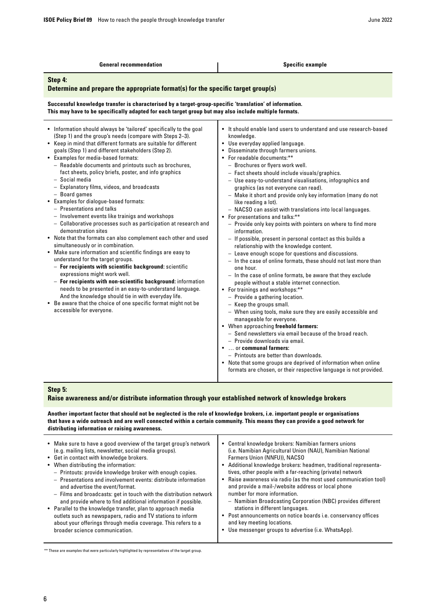| <b>General recommendation</b>                                                                                                                                                                                                                                                                                                                                                                                                                                                                                                                                                                                                                                                                                                                                                                                                                                                                                                                                                                                                                                                                                                                                                                                                                                                                                     | <b>Specific example</b>                                                                                                                                                                                                                                                                                                                                                                                                                                                                                                                                                                                                                                                                                                                                                                                                                                                                                                                                                                                                                                                                                                                                                                                                                                                                                                                                                                                                                                                                                                                                                                     |  |
|-------------------------------------------------------------------------------------------------------------------------------------------------------------------------------------------------------------------------------------------------------------------------------------------------------------------------------------------------------------------------------------------------------------------------------------------------------------------------------------------------------------------------------------------------------------------------------------------------------------------------------------------------------------------------------------------------------------------------------------------------------------------------------------------------------------------------------------------------------------------------------------------------------------------------------------------------------------------------------------------------------------------------------------------------------------------------------------------------------------------------------------------------------------------------------------------------------------------------------------------------------------------------------------------------------------------|---------------------------------------------------------------------------------------------------------------------------------------------------------------------------------------------------------------------------------------------------------------------------------------------------------------------------------------------------------------------------------------------------------------------------------------------------------------------------------------------------------------------------------------------------------------------------------------------------------------------------------------------------------------------------------------------------------------------------------------------------------------------------------------------------------------------------------------------------------------------------------------------------------------------------------------------------------------------------------------------------------------------------------------------------------------------------------------------------------------------------------------------------------------------------------------------------------------------------------------------------------------------------------------------------------------------------------------------------------------------------------------------------------------------------------------------------------------------------------------------------------------------------------------------------------------------------------------------|--|
| Step 4:<br>Determine and prepare the appropriate format(s) for the specific target group(s)                                                                                                                                                                                                                                                                                                                                                                                                                                                                                                                                                                                                                                                                                                                                                                                                                                                                                                                                                                                                                                                                                                                                                                                                                       |                                                                                                                                                                                                                                                                                                                                                                                                                                                                                                                                                                                                                                                                                                                                                                                                                                                                                                                                                                                                                                                                                                                                                                                                                                                                                                                                                                                                                                                                                                                                                                                             |  |
| Successful knowledge transfer is characterised by a target-group-specific 'translation' of information.<br>This may have to be specifically adapted for each target group but may also include multiple formats.                                                                                                                                                                                                                                                                                                                                                                                                                                                                                                                                                                                                                                                                                                                                                                                                                                                                                                                                                                                                                                                                                                  |                                                                                                                                                                                                                                                                                                                                                                                                                                                                                                                                                                                                                                                                                                                                                                                                                                                                                                                                                                                                                                                                                                                                                                                                                                                                                                                                                                                                                                                                                                                                                                                             |  |
| • Information should always be 'tailored' specifically to the goal<br>(Step 1) and the group's needs (compare with Steps 2-3).<br>• Keep in mind that different formats are suitable for different<br>goals (Step 1) and different stakeholders (Step 2).<br>• Examples for media-based formats:<br>- Readable documents and printouts such as brochures,<br>fact sheets, policy briefs, poster, and info graphics<br>- Social media<br>- Explanatory films, videos, and broadcasts<br>- Board games<br>• Examples for dialogue-based formats:<br>- Presentations and talks<br>- Involvement events like trainigs and workshops<br>- Collaborative processes such as participation at research and<br>demonstration sites<br>• Note that the formats can also complement each other and used<br>simultaneously or in combination.<br>• Make sure information and scientific findings are easy to<br>understand for the target groups.<br>- For recipients with scientific background: scientific<br>expressions might work well.<br>- For recipients with non-scientific background: information<br>needs to be presented in an easy-to-understand language.<br>And the knowledge should tie in with everyday life.<br>• Be aware that the choice of one specific format might not be<br>accessible for everyone. | • It should enable land users to understand and use research-based<br>knowledge.<br>• Use everyday applied language.<br>• Disseminate through farmers unions.<br>• For readable documents:**<br>- Brochures or flyers work well.<br>$-$ Fact sheets should include visuals/graphics.<br>- Use easy-to-understand visualisations, infographics and<br>graphics (as not everyone can read).<br>- Make it short and provide only key information (many do not<br>like reading a lot).<br>- NACSO can assist with translations into local languages.<br>• For presentations and talks:**<br>- Provide only key points with pointers on where to find more<br>information.<br>- If possible, present in personal contact as this builds a<br>relationship with the knowledge content.<br>- Leave enough scope for questions and discussions.<br>- In the case of online formats, these should not last more than<br>one hour.<br>- In the case of online formats, be aware that they exclude<br>people without a stable internet connection.<br>• For trainings and workshops:**<br>$-$ Provide a gathering location.<br>- Keep the groups small.<br>- When using tools, make sure they are easily accessible and<br>manageable for everyone.<br>• When approaching freehold farmers:<br>- Send newsletters via email because of the broad reach.<br>- Provide downloads via email.<br>•  or communal farmers:<br>- Printouts are better than downloads.<br>• Note that some groups are deprived of information when online<br>formats are chosen, or their respective language is not provided. |  |
| <b>Stan 5.</b>                                                                                                                                                                                                                                                                                                                                                                                                                                                                                                                                                                                                                                                                                                                                                                                                                                                                                                                                                                                                                                                                                                                                                                                                                                                                                                    |                                                                                                                                                                                                                                                                                                                                                                                                                                                                                                                                                                                                                                                                                                                                                                                                                                                                                                                                                                                                                                                                                                                                                                                                                                                                                                                                                                                                                                                                                                                                                                                             |  |

#### **Step 5:**

#### **Raise awareness and/or distribute information through your established network of knowledge brokers**

**Another important factor that should not be neglected is the role of knowledge brokers, i.e. important people or organisations that have a wide outreach and are well connected within a certain community. This means they can provide a good network for distributing information or raising awareness.**

| • Make sure to have a good overview of the target group's network<br>(e.g. mailing lists, newsletter, social media groups).<br>• Get in contact with knowledge brokers.<br>• When distributing the information:<br>- Printouts: provide knowledge broker with enough copies.<br>- Presentations and involvement events: distribute information<br>$\bullet$<br>and advertise the event/format.<br>- Films and broadcasts: get in touch with the distribution network<br>and provide where to find additional information if possible.<br>• Parallel to the knowledge transfer, plan to approach media<br>outlets such as newspapers, radio and TV stations to inform<br>about your offerings through media coverage. This refers to a<br>broader science communication. | • Central knowledge brokers: Namibian farmers unions<br>(i.e. Namibian Agricultural Union (NAU), Namibian National<br>Farmers Union (NNFU)), NACSO<br>• Additional knowledge brokers: headmen, traditional representa-<br>tives, other people with a far-reaching (private) network<br>Raise awareness via radio (as the most used communication tool)<br>and provide a mail-/website address or local phone<br>number for more information.<br>- Namibian Broadcasting Corporation (NBC) provides different<br>stations in different languages.<br>• Post announcements on notice boards i.e. conservancy offices<br>and key meeting locations.<br>Use messenger groups to advertise (i.e. WhatsApp). |
|-------------------------------------------------------------------------------------------------------------------------------------------------------------------------------------------------------------------------------------------------------------------------------------------------------------------------------------------------------------------------------------------------------------------------------------------------------------------------------------------------------------------------------------------------------------------------------------------------------------------------------------------------------------------------------------------------------------------------------------------------------------------------|--------------------------------------------------------------------------------------------------------------------------------------------------------------------------------------------------------------------------------------------------------------------------------------------------------------------------------------------------------------------------------------------------------------------------------------------------------------------------------------------------------------------------------------------------------------------------------------------------------------------------------------------------------------------------------------------------------|
|-------------------------------------------------------------------------------------------------------------------------------------------------------------------------------------------------------------------------------------------------------------------------------------------------------------------------------------------------------------------------------------------------------------------------------------------------------------------------------------------------------------------------------------------------------------------------------------------------------------------------------------------------------------------------------------------------------------------------------------------------------------------------|--------------------------------------------------------------------------------------------------------------------------------------------------------------------------------------------------------------------------------------------------------------------------------------------------------------------------------------------------------------------------------------------------------------------------------------------------------------------------------------------------------------------------------------------------------------------------------------------------------------------------------------------------------------------------------------------------------|

\*\* These are examples that were particularly highlighted by representatives of the target group.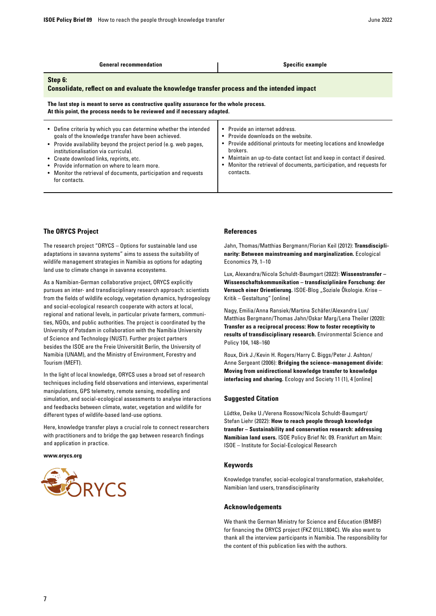| <b>General recommendation</b>                                                                                                                                                                                                                                                                                                                                                                                        | <b>Specific example</b>                                                                                                                                                                                                                                                                                                               |  |
|----------------------------------------------------------------------------------------------------------------------------------------------------------------------------------------------------------------------------------------------------------------------------------------------------------------------------------------------------------------------------------------------------------------------|---------------------------------------------------------------------------------------------------------------------------------------------------------------------------------------------------------------------------------------------------------------------------------------------------------------------------------------|--|
| Step 6:<br>Consolidate, reflect on and evaluate the knowledge transfer process and the intended impact                                                                                                                                                                                                                                                                                                               |                                                                                                                                                                                                                                                                                                                                       |  |
| The last step is meant to serve as constructive quality assurance for the whole process.<br>At this point, the process needs to be reviewed and if necessary adapted.                                                                                                                                                                                                                                                |                                                                                                                                                                                                                                                                                                                                       |  |
| Define criteria by which you can determine whether the intended<br>goals of the knowledge transfer have been achieved.<br>• Provide availability beyond the project period (e.g. web pages,<br>institutionalisation via curricula).<br>• Create download links, reprints, etc.<br>• Provide information on where to learn more.<br>• Monitor the retrieval of documents, participation and requests<br>for contacts. | Provide an internet address.<br>$\bullet$<br>• Provide downloads on the website.<br>Provide additional printouts for meeting locations and knowledge<br>٠<br>brokers.<br>Maintain an up-to-date contact list and keep in contact if desired.<br>Monitor the retrieval of documents, participation, and requests for<br>٠<br>contacts. |  |

#### **The ORYCS Project**

The research project "ORYCS – Options for sustainable land use adaptations in savanna systems" aims to assess the suitability of wildlife management strategies in Namibia as options for adapting land use to climate change in savanna ecosystems.

As a Namibian-German collaborative project, ORYCS explicitly pursues an inter- and transdisciplinary research approach: scientists from the fields of wildlife ecology, vegetation dynamics, hydrogeology and social-ecological research cooperate with actors at local, regional and national levels, in particular private farmers, communities, NGOs, and public authorities. The project is coordinated by the University of Potsdam in collaboration with the Namibia University of Science and Technology (NUST). Further project partners besides the ISOE are the Freie Universität Berlin, the University of Namibia (UNAM), and the Ministry of Environment, Forestry and Tourism (MEFT).

In the light of local knowledge, ORYCS uses a broad set of research techniques including field observations and interviews, experimental manipulations, GPS telemetry, remote sensing, modelling and simulation, and social-ecological assessments to analyse interactions and feedbacks between climate, water, vegetation and wildlife for different types of wildlife-based land-use options.

Here, knowledge transfer plays a crucial role to connect researchers with practitioners and to bridge the gap between research findings and application in practice.

**www.orycs.org**



#### **References**

Jahn, Thomas/Matthias Bergmann/Florian Keil (2012): **Transdisciplinarity: Between mainstreaming and marginalization.** Ecological Economics 79, 1–10

Lux, Alexandra/Nicola Schuldt-Baumgart (2022): **[Wissenstransfer –](https://isoe.blog/wissenstransfer-wissenschaftskommunikation-transdisziplinaere-forschung-der-versuch-einer-orientierung/)  [Wissenschaftskommunikation – transdisziplinäre Forschung: der](https://isoe.blog/wissenstransfer-wissenschaftskommunikation-transdisziplinaere-forschung-der-versuch-einer-orientierung/)**  [Versuch einer Orientierung.](https://isoe.blog/wissenstransfer-wissenschaftskommunikation-transdisziplinaere-forschung-der-versuch-einer-orientierung/) ISOE-Blog "Soziale Ökologie. Krise -Kritik – Gestaltung" [online]

Nagy, Emilia/Anna Ransiek/Martina Schäfer/Alexandra Lux/ Matthias Bergmann/Thomas Jahn/Oskar Marg/Lena Theiler (2020): **[Transfer as a reciprocal process: How to foster receptivity to](https://doi.org/10.1016/j.envsci.2019.11.007.)  [results of transdisciplinary research.](https://doi.org/10.1016/j.envsci.2019.11.007.)** Environmental Science and Policy 104, 148–160

Roux, Dirk J./Kevin H. Rogers/Harry C. Biggs/Peter J. Ashton/ Anne Sergeant (2006): **[Bridging the science–management divide:](https://www.ecologyandsociety.org/vol11/iss1/art4/)  [Moving from unidirectional knowledge transfer to knowledge](https://www.ecologyandsociety.org/vol11/iss1/art4/)  [interfacing and sharing.](https://www.ecologyandsociety.org/vol11/iss1/art4/)** Ecology and Society 11 (1), 4 [online]

#### **Suggested Citation**

Lüdtke, Deike U./Verena Rossow/Nicola Schuldt-Baumgart/ Stefan Liehr (2022): **How to reach people through knowledge transfer – Sustainability and conservation research: addressing Namibian land users.** ISOE Policy Brief Nr. 09. Frankfurt am Main: ISOE – Institute for Social-Ecological Research

#### **Keywords**

Knowledge transfer, social-ecological transformation, stakeholder, Namibian land users, transdisciplinarity

#### **Acknowledgements**

We thank the German Ministry for Science and Education (BMBF) for financing the ORYCS project (FKZ 01LL1804C). We also want to thank all the interview participants in Namibia. The responsibility for the content of this publication lies with the authors.